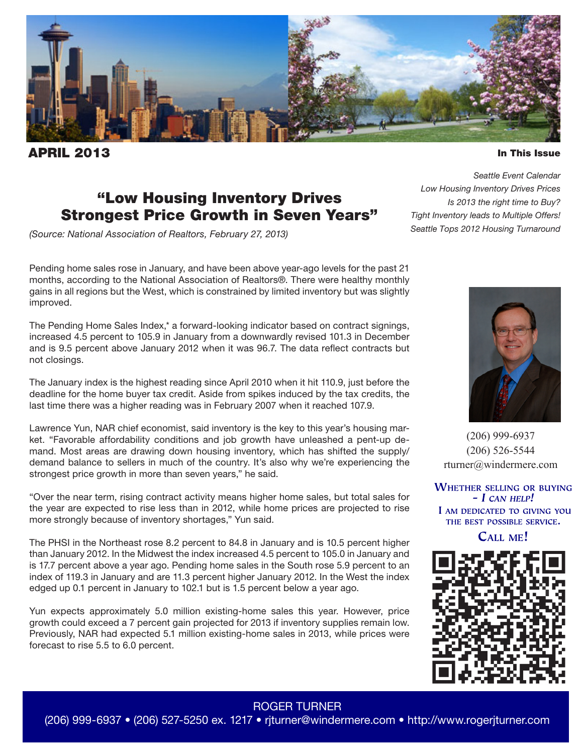

**PRIL 2013** 

In This Issue

# "Low Housing Inventory Drives Strongest Price Growth in Seven Years"

*(Source: National Association of Realtors, February 27, 2013)*

Pending home sales rose in January, and have been above year-ago levels for the past 21 months, according to the National Association of Realtors®. There were healthy monthly gains in all regions but the West, which is constrained by limited inventory but was slightly improved.

The Pending Home Sales Index,\* a forward-looking indicator based on contract signings, increased 4.5 percent to 105.9 in January from a downwardly revised 101.3 in December and is 9.5 percent above January 2012 when it was 96.7. The data reflect contracts but not closings.

The January index is the highest reading since April 2010 when it hit 110.9, just before the deadline for the home buyer tax credit. Aside from spikes induced by the tax credits, the last time there was a higher reading was in February 2007 when it reached 107.9.

Lawrence Yun, NAR chief economist, said inventory is the key to this year's housing market. "Favorable affordability conditions and job growth have unleashed a pent-up demand. Most areas are drawing down housing inventory, which has shifted the supply/ demand balance to sellers in much of the country. It's also why we're experiencing the strongest price growth in more than seven years," he said.

"Over the near term, rising contract activity means higher home sales, but total sales for the year are expected to rise less than in 2012, while home prices are projected to rise more strongly because of inventory shortages," Yun said.

The PHSI in the Northeast rose 8.2 percent to 84.8 in January and is 10.5 percent higher than January 2012. In the Midwest the index increased 4.5 percent to 105.0 in January and is 17.7 percent above a year ago. Pending home sales in the South rose 5.9 percent to an index of 119.3 in January and are 11.3 percent higher January 2012. In the West the index edged up 0.1 percent in January to 102.1 but is 1.5 percent below a year ago.

Yun expects approximately 5.0 million existing-home sales this year. However, price growth could exceed a 7 percent gain projected for 2013 if inventory supplies remain low. Previously, NAR had expected 5.1 million existing-home sales in 2013, while prices were forecast to rise 5.5 to 6.0 percent.

*Seattle Event Calendar Low Housing Inventory Drives Prices Is 2013 the right time to Buy? Tight Inventory leads to Multiple Offers! Seattle Tops 2012 Housing Turnaround*



(206) 999-6937 (206) 526-5544 rturner@windermere.com

**WHETHER SELLING OR BUYING**  $- I$  CAN HELP! I AM DEDICATED TO GIVING YOU THE BEST POSSIBLE SERVICE.

**CALL ME!** 



### ROGER TURNER

(206) 999-6937 • (206) 527-5250 ex. 1217 • rjturner@windermere.com • http://www.rogerjturner.com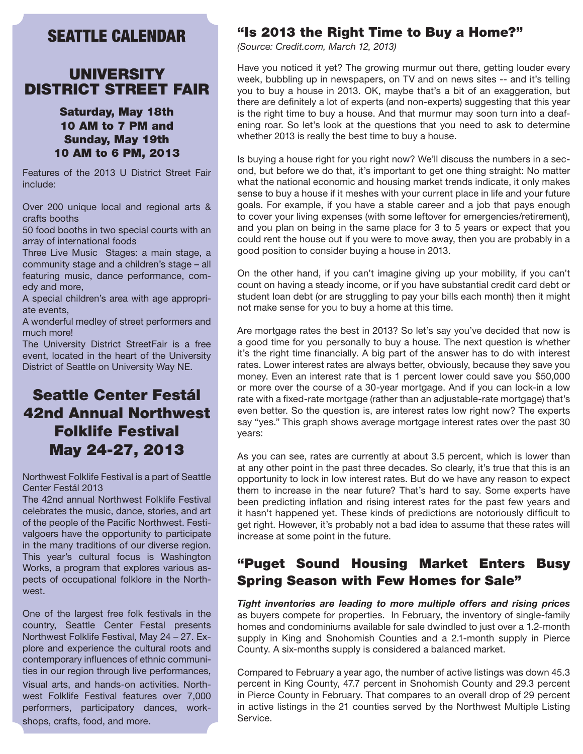# SEATTLE CALENDAR

### UNIVERSITY DISTRICT STREET FAIR

### Saturday, May 18th 10 AM to 7 PM and Sunday, May 19th 10 AM to 6 PM, 2013

Features of the 2013 U District Street Fair include:

Over 200 unique local and regional arts & crafts booths

50 food booths in two special courts with an array of international foods

Three Live Music Stages: a main stage, a community stage and a children's stage – all featuring music, dance performance, comedy and more,

A special children's area with age appropriate events,

A wonderful medley of street performers and much more!

The University District StreetFair is a free event, located in the heart of the University District of Seattle on University Way NE.

# Seattle Center Festál 42nd Annual Northwest Folklife Festival May 24-27, 2013

Northwest Folklife Festival is a part of Seattle Center Festál 2013

The 42nd annual Northwest Folklife Festival celebrates the music, dance, stories, and art of the people of the Pacific Northwest. Festivalgoers have the opportunity to participate in the many traditions of our diverse region. This year's cultural focus is Washington Works, a program that explores various aspects of occupational folklore in the Northwest.

One of the largest free folk festivals in the country, Seattle Center Festal presents Northwest Folklife Festival, May 24 – 27. Explore and experience the cultural roots and contemporary influences of ethnic communities in our region through live performances, visual arts, and hands-on activities. Northwest Folklife Festival features over 7,000 performers, participatory dances, workshops, crafts, food, and more.

### "Is 2013 the Right Time to Buy a Home?"

*(Source: Credit.com, March 12, 2013)*

Have you noticed it yet? The growing murmur out there, getting louder every week, bubbling up in newspapers, on TV and on news sites -- and it's telling you to buy a house in 2013. OK, maybe that's a bit of an exaggeration, but there are definitely a lot of experts (and non-experts) suggesting that this year is the right time to buy a house. And that murmur may soon turn into a deafening roar. So let's look at the questions that you need to ask to determine whether 2013 is really the best time to buy a house.

Is buying a house right for you right now? We'll discuss the numbers in a second, but before we do that, it's important to get one thing straight: No matter what the national economic and housing market trends indicate, it only makes sense to buy a house if it meshes with your current place in life and your future goals. For example, if you have a stable career and a job that pays enough to cover your living expenses (with some leftover for emergencies/retirement), and you plan on being in the same place for 3 to 5 years or expect that you could rent the house out if you were to move away, then you are probably in a good position to consider buying a house in 2013.

On the other hand, if you can't imagine giving up your mobility, if you can't count on having a steady income, or if you have substantial credit card debt or student loan debt (or are struggling to pay your bills each month) then it might not make sense for you to buy a home at this time.

Are mortgage rates the best in 2013? So let's say you've decided that now is a good time for you personally to buy a house. The next question is whether it's the right time financially. A big part of the answer has to do with interest rates. Lower interest rates are always better, obviously, because they save you money. Even an interest rate that is 1 percent lower could save you \$50,000 or more over the course of a 30-year mortgage. And if you can lock-in a low rate with a fixed-rate mortgage (rather than an adjustable-rate mortgage) that's even better. So the question is, are interest rates low right now? The experts say "yes." This graph shows average mortgage interest rates over the past 30 years:

As you can see, rates are currently at about 3.5 percent, which is lower than at any other point in the past three decades. So clearly, it's true that this is an opportunity to lock in low interest rates. But do we have any reason to expect them to increase in the near future? That's hard to say. Some experts have been predicting inflation and rising interest rates for the past few years and it hasn't happened yet. These kinds of predictions are notoriously difficult to get right. However, it's probably not a bad idea to assume that these rates will increase at some point in the future.

## "Puget Sound Housing Market Enters Busy Spring Season with Few Homes for Sale"

*Tight inventories are leading to more multiple offers and rising prices* as buyers compete for properties. In February, the inventory of single-family homes and condominiums available for sale dwindled to just over a 1.2-month supply in King and Snohomish Counties and a 2.1-month supply in Pierce County. A six-months supply is considered a balanced market.

Compared to February a year ago, the number of active listings was down 45.3 percent in King County, 47.7 percent in Snohomish County and 29.3 percent in Pierce County in February. That compares to an overall drop of 29 percent in active listings in the 21 counties served by the Northwest Multiple Listing Service.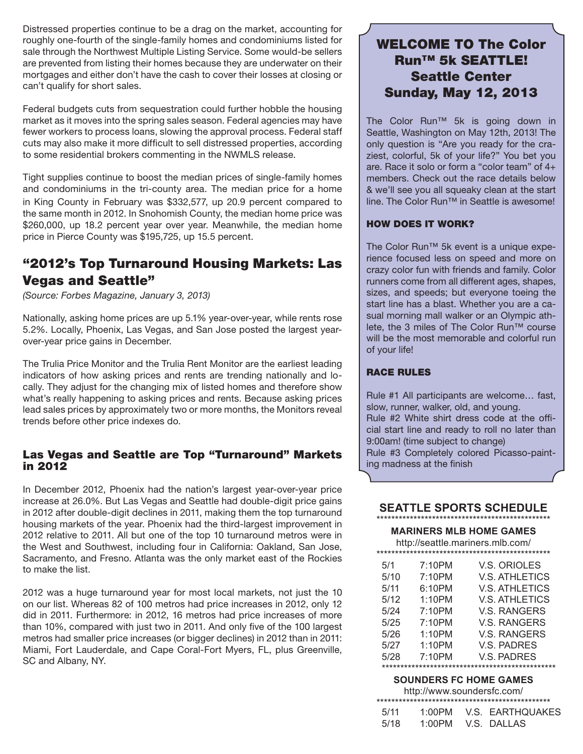Distressed properties continue to be a drag on the market, accounting for roughly one-fourth of the single-family homes and condominiums listed for sale through the Northwest Multiple Listing Service. Some would-be sellers are prevented from listing their homes because they are underwater on their mortgages and either don't have the cash to cover their losses at closing or can't qualify for short sales.

Federal budgets cuts from sequestration could further hobble the housing market as it moves into the spring sales season. Federal agencies may have fewer workers to process loans, slowing the approval process. Federal staff cuts may also make it more difficult to sell distressed properties, according to some residential brokers commenting in the NWMLS release.

Tight supplies continue to boost the median prices of single-family homes and condominiums in the tri-county area. The median price for a home in King County in February was \$332,577, up 20.9 percent compared to the same month in 2012. In Snohomish County, the median home price was \$260,000, up 18.2 percent year over year. Meanwhile, the median home price in Pierce County was \$195,725, up 15.5 percent.

## "2012's Top Turnaround Housing Markets: Las Vegas and Seattle"

*(Source: Forbes Magazine, January 3, 2013)*

Nationally, asking home prices are up 5.1% year-over-year, while rents rose 5.2%. Locally, Phoenix, Las Vegas, and San Jose posted the largest yearover-year price gains in December.

The Trulia Price Monitor and the Trulia Rent Monitor are the earliest leading indicators of how asking prices and rents are trending nationally and locally. They adjust for the changing mix of listed homes and therefore show what's really happening to asking prices and rents. Because asking prices lead sales prices by approximately two or more months, the Monitors reveal trends before other price indexes do.

### Las Vegas and Seattle are Top "Turnaround" Markets in 2012

In December 2012, Phoenix had the nation's largest year-over-year price increase at 26.0%. But Las Vegas and Seattle had double-digit price gains in 2012 after double-digit declines in 2011, making them the top turnaround housing markets of the year. Phoenix had the third-largest improvement in 2012 relative to 2011. All but one of the top 10 turnaround metros were in the West and Southwest, including four in California: Oakland, San Jose, Sacramento, and Fresno. Atlanta was the only market east of the Rockies to make the list.

2012 was a huge turnaround year for most local markets, not just the 10 on our list. Whereas 82 of 100 metros had price increases in 2012, only 12 did in 2011. Furthermore: in 2012, 16 metros had price increases of more than 10%, compared with just two in 2011. And only five of the 100 largest metros had smaller price increases (or bigger declines) in 2012 than in 2011: Miami, Fort Lauderdale, and Cape Coral-Fort Myers, FL, plus Greenville, SC and Albany, NY.

## WELCOME TO The Color Run™ 5k SEATTLE! Seattle Center Sunday, May 12, 2013

The Color Run™ 5k is going down in Seattle, Washington on May 12th, 2013! The only question is "Are you ready for the craziest, colorful, 5k of your life?" You bet you are. Race it solo or form a "color team" of 4+ members. Check out the race details below & we'll see you all squeaky clean at the start line. The Color Run™ in Seattle is awesome!

### HOW DOES IT WORK?

The Color Run™ 5k event is a unique experience focused less on speed and more on crazy color fun with friends and family. Color runners come from all different ages, shapes, sizes, and speeds; but everyone toeing the start line has a blast. Whether you are a casual morning mall walker or an Olympic athlete, the 3 miles of The Color Run™ course will be the most memorable and colorful run of your life!

#### RACE RULES

Rule #1 All participants are welcome… fast, slow, runner, walker, old, and young. Rule #2 White shirt dress code at the official start line and ready to roll no later than 9:00am! (time subject to change) Rule #3 Completely colored Picasso-painting madness at the finish

#### **SEATTLE SPORTS SCHEDULE** \*\*\*\*\*\*\*\*\*\*\*\*\*\*\*\*\*\*\*\*\*\*\*\*\*\*\*\*\*\*\*\*\*\*\*\*\*\*\*\*\*\*\*\*\*\*\*

#### **MARINERS MLB HOME GAMES**

http://seattle.mariners.mlb.com/

| 5/1  | 7:10PM | V.S. ORIOLES          |
|------|--------|-----------------------|
| 5/10 | 7:10PM | <b>V.S. ATHLETICS</b> |
| 5/11 | 6:10PM | <b>V.S. ATHLETICS</b> |
| 5/12 | 1:10PM | <b>V.S. ATHLETICS</b> |
| 5/24 | 7:10PM | <b>V.S. RANGERS</b>   |
| 5/25 | 7:10PM | V.S. RANGERS          |
| 5/26 | 1:10PM | V.S. RANGERS          |
| 5/27 | 1:10PM | V.S. PADRES           |
| 5/28 | 7:10PM | V.S. PADRES           |
|      |        |                       |

#### **SOUNDERS FC HOME GAMES**

http://www.soundersfc.com/

| 5/11 |  |  | 1:00PM V.S. EARTHOUAKES |  |  |
|------|--|--|-------------------------|--|--|
| 5/18 |  |  | 1:00PM V.S. DALLAS      |  |  |